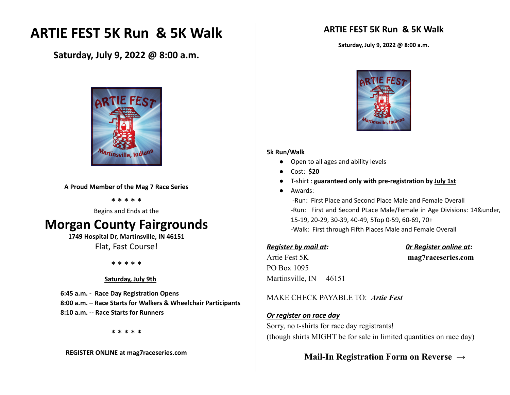# **ARTIE FEST 5K Run & 5K Walk**

**Saturday, July 9, 2022 @ 8:00 a.m.**



**A Proud Member of the Mag 7 Race Series**

**\* \* \* \* \***

Begins and Ends at the

# **Morgan County Fairgrounds**

**1749 Hospital Dr, Martinsville, IN 46151** Flat, Fast Course!

**\* \* \* \* \***

### **Saturday, July 9th**

**6:45 a.m. - Race Day Registration Opens 8:00 a.m. – Race Starts for Walkers & Wheelchair Participants 8:10 a.m. -- Race Starts for Runners**

**\* \* \* \* \***

**REGISTER ONLINE at mag7raceseries.com**

## **ARTIE FEST 5K Run & 5K Walk**

**Saturday, July 9, 2022 @ 8:00 a.m.**



#### **5k Run/Walk**

- Open to all ages and ability levels
- Cost: **\$20**
- T-shirt : **guaranteed only with pre-registration by July 1st**
- Awards:

-Run: First Place and Second Place Male and Female Overall -Run: First and Second PLace Male/Female in Age Divisions: 14&under, 15-19, 20-29, 30-39, 40-49, 5Top 0-59, 60-69, 70+ -Walk: First through Fifth Places Male and Female Overall

### *Register by mail at: 0r Register online at:*

Artie Fest 5K **mag7raceseries.com** PO Box 1095 Martinsville, IN 46151

### MAKE CHECK PAYABLE TO: *Artie Fest*

### *Or register on race day*

Sorry, no t-shirts for race day registrants! (though shirts MIGHT be for sale in limited quantities on race day)

## **Mail-In Registration Form on Reverse →**